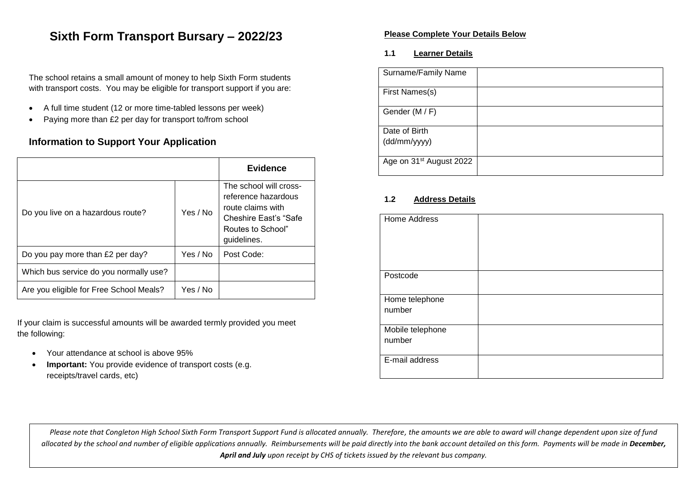### **Sixth Form Transport Bursary – 2022/23**

The school retains a small amount of money to help Sixth Form students with transport costs. You may be eligible for transport support if you are:

- A full time student (12 or more time-tabled lessons per week)
- Paying more than £2 per day for transport to/from school

#### **Information to Support Your Application**

|                                         |          | <b>Evidence</b>                                                                                                                  |
|-----------------------------------------|----------|----------------------------------------------------------------------------------------------------------------------------------|
| Do you live on a hazardous route?       | Yes / No | The school will cross-<br>reference hazardous<br>route claims with<br>Cheshire East's "Safe"<br>Routes to School"<br>guidelines. |
| Do you pay more than £2 per day?        | Yes / No | Post Code:                                                                                                                       |
| Which bus service do you normally use?  |          |                                                                                                                                  |
| Are you eligible for Free School Meals? | Yes / No |                                                                                                                                  |

If your claim is successful amounts will be awarded termly provided you meet the following:

- Your attendance at school is above 95%
- **Important:** You provide evidence of transport costs (e.g. receipts/travel cards, etc)

#### **Please Complete Your Details Below**

#### **1.1 Learner Details**

| Surname/Family Name                 |  |
|-------------------------------------|--|
| First Names(s)                      |  |
| Gender (M / F)                      |  |
| Date of Birth                       |  |
| (dd/mm/yyyy)                        |  |
| Age on 31 <sup>st</sup> August 2022 |  |

#### **1.2 Address Details**

| Home Address               |  |
|----------------------------|--|
| Postcode                   |  |
| Home telephone<br>number   |  |
| Mobile telephone<br>number |  |
| E-mail address             |  |

*Please note that Congleton High School Sixth Form Transport Support Fund is allocated annually. Therefore, the amounts we are able to award will change dependent upon size of fund*  allocated by the school and number of eligible applications annually. Reimbursements will be paid directly into the bank account detailed on this form. Payments will be made in **December,** *April and July upon receipt by CHS of tickets issued by the relevant bus company.*